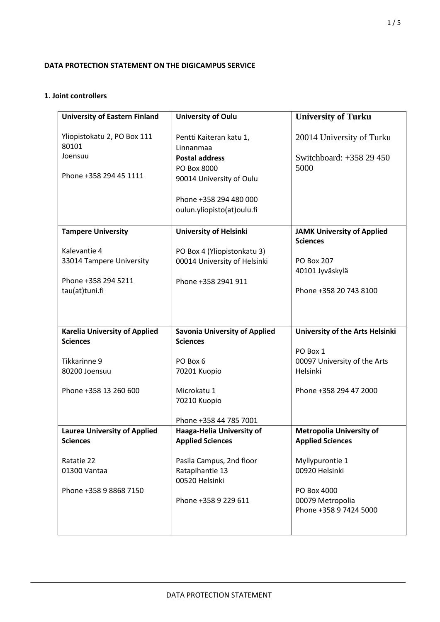# **DATA PROTECTION STATEMENT ON THE DIGICAMPUS SERVICE**

# **1. Joint controllers**

| <b>University of Eastern Finland</b>                   | <b>University of Oulu</b>                            | <b>University of Turku</b>                                 |
|--------------------------------------------------------|------------------------------------------------------|------------------------------------------------------------|
| Yliopistokatu 2, PO Box 111<br>80101                   | Pentti Kaiteran katu 1,<br>Linnanmaa                 | 20014 University of Turku                                  |
| Joensuu                                                | <b>Postal address</b>                                | Switchboard: +358 29 450                                   |
| Phone +358 294 45 1111                                 | PO Box 8000<br>90014 University of Oulu              | 5000                                                       |
|                                                        | Phone +358 294 480 000                               |                                                            |
|                                                        | oulun.yliopisto(at)oulu.fi                           |                                                            |
| <b>Tampere University</b>                              | <b>University of Helsinki</b>                        | <b>JAMK University of Applied</b><br><b>Sciences</b>       |
| Kalevantie 4                                           | PO Box 4 (Yliopistonkatu 3)                          |                                                            |
| 33014 Tampere University                               | 00014 University of Helsinki                         | PO Box 207<br>40101 Jyväskylä                              |
| Phone +358 294 5211                                    | Phone +358 2941 911                                  |                                                            |
| tau(at)tuni.fi                                         |                                                      | Phone +358 20 743 8100                                     |
|                                                        |                                                      |                                                            |
|                                                        |                                                      |                                                            |
| <b>Karelia University of Applied</b>                   | <b>Savonia University of Applied</b>                 | University of the Arts Helsinki                            |
| <b>Sciences</b>                                        | <b>Sciences</b>                                      | PO Box 1                                                   |
| Tikkarinne 9                                           | PO Box 6                                             | 00097 University of the Arts                               |
| 80200 Joensuu                                          | 70201 Kuopio                                         | Helsinki                                                   |
| Phone +358 13 260 600                                  | Microkatu 1<br>70210 Kuopio                          | Phone +358 294 47 2000                                     |
|                                                        | Phone +358 44 785 7001                               |                                                            |
| <b>Laurea University of Applied</b><br><b>Sciences</b> | Haaga-Helia University of<br><b>Applied Sciences</b> | <b>Metropolia University of</b><br><b>Applied Sciences</b> |
| Ratatie 22                                             | Pasila Campus, 2nd floor                             | Myllypurontie 1                                            |
| 01300 Vantaa                                           | Ratapihantie 13<br>00520 Helsinki                    | 00920 Helsinki                                             |
| Phone +358 9 8868 7150                                 |                                                      | PO Box 4000                                                |
|                                                        | Phone +358 9 229 611                                 | 00079 Metropolia                                           |
|                                                        |                                                      | Phone +358 9 7424 5000                                     |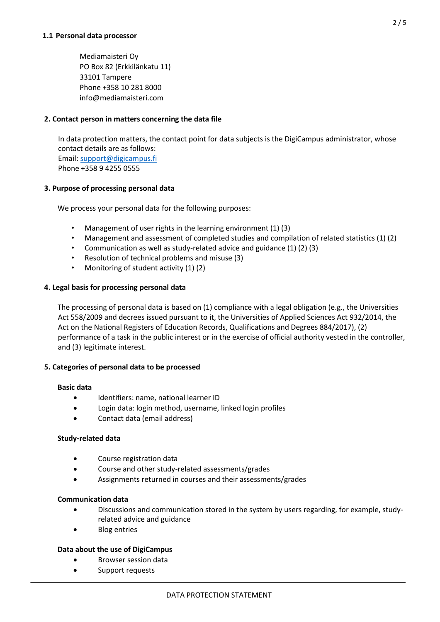Mediamaisteri Oy PO Box 82 (Erkkilänkatu 11) 33101 Tampere Phone +358 10 281 8000 info@mediamaisteri.com

## **2. Contact person in matters concerning the data file**

In data protection matters, the contact point for data subjects is the DigiCampus administrator, whose contact details are as follows: Email[: support@digicampus.fi](mailto:support@digicampus.fi) Phone +358 9 4255 0555

# **3. Purpose of processing personal data**

We process your personal data for the following purposes:

- Management of user rights in the learning environment (1) (3)
- Management and assessment of completed studies and compilation of related statistics (1) (2)
- Communication as well as study-related advice and guidance (1) (2) (3)
- Resolution of technical problems and misuse (3)
- Monitoring of student activity (1) (2)

## **4. Legal basis for processing personal data**

The processing of personal data is based on (1) compliance with a legal obligation (e.g., the Universities Act 558/2009 and decrees issued pursuant to it, the Universities of Applied Sciences Act 932/2014, the Act on the National Registers of Education Records, Qualifications and Degrees 884/2017), (2) performance of a task in the public interest or in the exercise of official authority vested in the controller, and (3) legitimate interest.

## **5. Categories of personal data to be processed**

## **Basic data**

- Identifiers: name, national learner ID
- Login data: login method, username, linked login profiles
- Contact data (email address)

## **Study-related data**

- Course registration data
- Course and other study-related assessments/grades
- Assignments returned in courses and their assessments/grades

## **Communication data**

- Discussions and communication stored in the system by users regarding, for example, studyrelated advice and guidance
- Blog entries

## **Data about the use of DigiCampus**

- Browser session data
- Support requests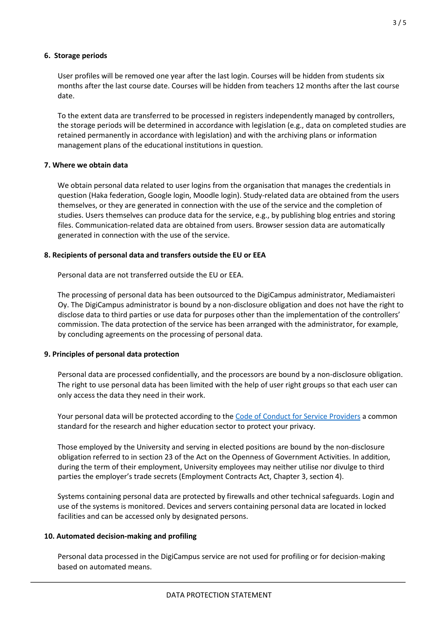## **6. Storage periods**

User profiles will be removed one year after the last login. Courses will be hidden from students six months after the last course date. Courses will be hidden from teachers 12 months after the last course date.

To the extent data are transferred to be processed in registers independently managed by controllers, the storage periods will be determined in accordance with legislation (e.g., data on completed studies are retained permanently in accordance with legislation) and with the archiving plans or information management plans of the educational institutions in question.

# **7. Where we obtain data**

We obtain personal data related to user logins from the organisation that manages the credentials in question (Haka federation, Google login, Moodle login). Study-related data are obtained from the users themselves, or they are generated in connection with the use of the service and the completion of studies. Users themselves can produce data for the service, e.g., by publishing blog entries and storing files. Communication-related data are obtained from users. Browser session data are automatically generated in connection with the use of the service.

# **8. Recipients of personal data and transfers outside the EU or EEA**

Personal data are not transferred outside the EU or EEA.

The processing of personal data has been outsourced to the DigiCampus administrator, Mediamaisteri Oy. The DigiCampus administrator is bound by a non-disclosure obligation and does not have the right to disclose data to third parties or use data for purposes other than the implementation of the controllers' commission. The data protection of the service has been arranged with the administrator, for example, by concluding agreements on the processing of personal data.

# **9. Principles of personal data protection**

Personal data are processed confidentially, and the processors are bound by a non-disclosure obligation. The right to use personal data has been limited with the help of user right groups so that each user can only access the data they need in their work.

Your personal data will be protected according to th[e Code of Conduct for Service Providers](https://www.geant.net/uri/dataprotection-code-of-conduct/v1) a common standard for the research and higher education sector to protect your privacy.

Those employed by the University and serving in elected positions are bound by the non-disclosure obligation referred to in section 23 of the Act on the Openness of Government Activities. In addition, during the term of their employment, University employees may neither utilise nor divulge to third parties the employer's trade secrets (Employment Contracts Act, Chapter 3, section 4).

Systems containing personal data are protected by firewalls and other technical safeguards. Login and use of the systems is monitored. Devices and servers containing personal data are located in locked facilities and can be accessed only by designated persons.

## **10. Automated decision-making and profiling**

Personal data processed in the DigiCampus service are not used for profiling or for decision-making based on automated means.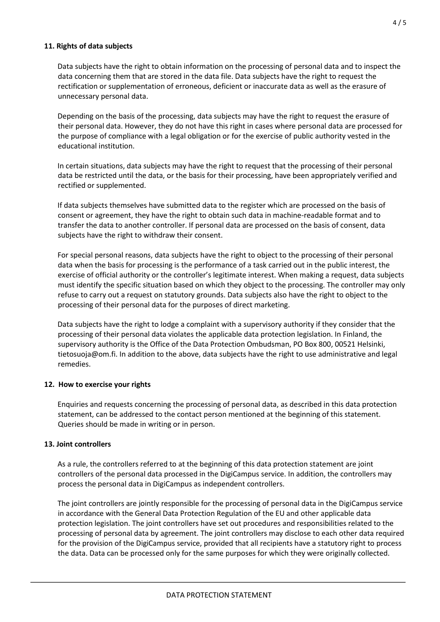# **11. Rights of data subjects**

Data subjects have the right to obtain information on the processing of personal data and to inspect the data concerning them that are stored in the data file. Data subjects have the right to request the rectification or supplementation of erroneous, deficient or inaccurate data as well as the erasure of unnecessary personal data.

Depending on the basis of the processing, data subjects may have the right to request the erasure of their personal data. However, they do not have this right in cases where personal data are processed for the purpose of compliance with a legal obligation or for the exercise of public authority vested in the educational institution.

In certain situations, data subjects may have the right to request that the processing of their personal data be restricted until the data, or the basis for their processing, have been appropriately verified and rectified or supplemented.

If data subjects themselves have submitted data to the register which are processed on the basis of consent or agreement, they have the right to obtain such data in machine-readable format and to transfer the data to another controller. If personal data are processed on the basis of consent, data subjects have the right to withdraw their consent.

For special personal reasons, data subjects have the right to object to the processing of their personal data when the basis for processing is the performance of a task carried out in the public interest, the exercise of official authority or the controller's legitimate interest. When making a request, data subjects must identify the specific situation based on which they object to the processing. The controller may only refuse to carry out a request on statutory grounds. Data subjects also have the right to object to the processing of their personal data for the purposes of direct marketing.

Data subjects have the right to lodge a complaint with a supervisory authority if they consider that the processing of their personal data violates the applicable data protection legislation. In Finland, the supervisory authority is the Office of the Data Protection Ombudsman, PO Box 800, 00521 Helsinki, tietosuoja@om.fi. In addition to the above, data subjects have the right to use administrative and legal remedies.

# **12. How to exercise your rights**

Enquiries and requests concerning the processing of personal data, as described in this data protection statement, can be addressed to the contact person mentioned at the beginning of this statement. Queries should be made in writing or in person.

# **13. Joint controllers**

As a rule, the controllers referred to at the beginning of this data protection statement are joint controllers of the personal data processed in the DigiCampus service. In addition, the controllers may process the personal data in DigiCampus as independent controllers.

The joint controllers are jointly responsible for the processing of personal data in the DigiCampus service in accordance with the General Data Protection Regulation of the EU and other applicable data protection legislation. The joint controllers have set out procedures and responsibilities related to the processing of personal data by agreement. The joint controllers may disclose to each other data required for the provision of the DigiCampus service, provided that all recipients have a statutory right to process the data. Data can be processed only for the same purposes for which they were originally collected.